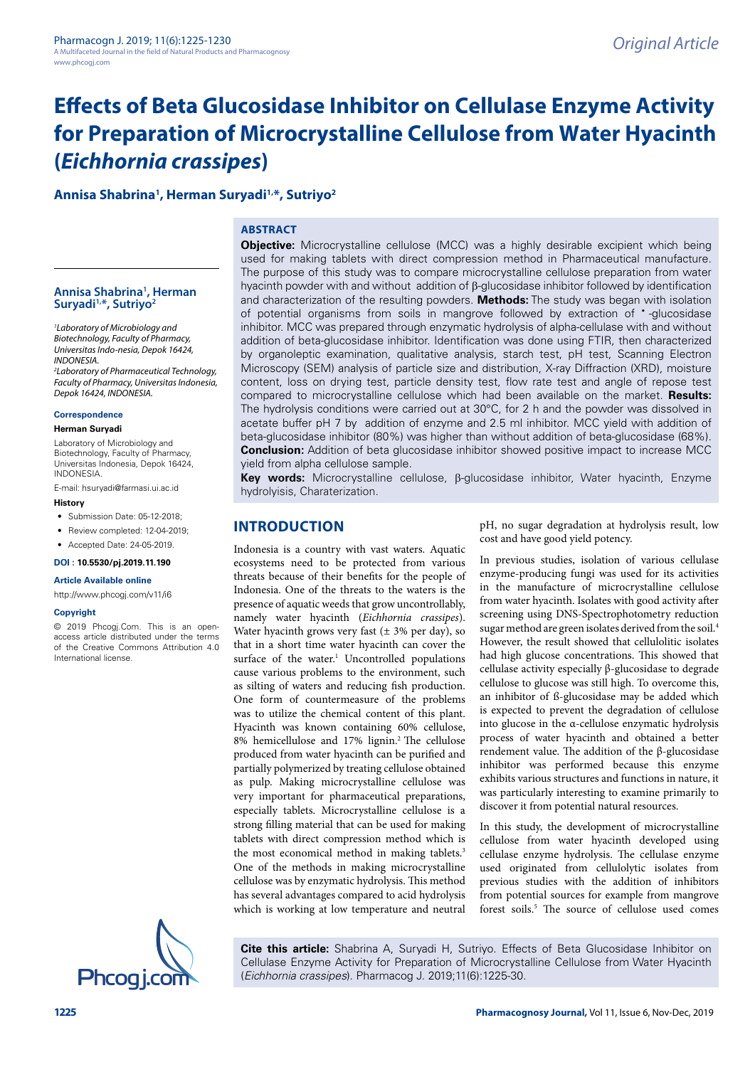# **Annisa Shabrina1 , Herman Suryadi1,\*, Sutriyo2**

## **ABSTRACT**

#### **Annisa Shabrina1 , Herman Suryadi1,\*, Sutriyo2**

*1 Laboratory of Microbiology and Biotechnology, Faculty of Pharmacy, Universitas Indo-nesia, Depok 16424, INDONESIA. 2 Laboratory of Pharmaceutical Technology, Faculty of Pharmacy, Universitas Indonesia,* 

*Depok 16424, INDONESIA.*

#### **Correspondence**

**Herman Suryadi**

Laboratory of Microbiology and Biotechnology, Faculty of Pharmacy, Universitas Indonesia, Depok 16424, INDONESIA.

E-mail: [hsuryadi@farmasi.ui.ac.id](mailto:hsuryadi@farmasi.ui.ac.id) **History**

- Submission Date: 05-12-2018:
- Review completed: 12-04-2019:
- Accepted Date: 24-05-2019.

**DOI : 10.5530/pj.2019.11.190**

**Article Available online** 

<http://www.phcogj.com/v11/i6>

#### **Copyright**

© 2019 Phcogj.Com. This is an openaccess article distributed under the terms of the Creative Commons Attribution 4.0 International license.



**Objective:** Microcrystalline cellulose (MCC) was a highly desirable excipient which being used for making tablets with direct compression method in Pharmaceutical manufacture. The purpose of this study was to compare microcrystalline cellulose preparation from water hyacinth powder with and without addition of β-glucosidase inhibitor followed by identification and characterization of the resulting powders. **Methods:** The study was began with isolation of potential organisms from soils in mangrove followed by extraction of • -glucosidase inhibitor. MCC was prepared through enzymatic hydrolysis of alpha-cellulase with and without addition of beta-glucosidase inhibitor. Identification was done using FTIR, then characterized by organoleptic examination, qualitative analysis, starch test, pH test, Scanning Electron Microscopy (SEM) analysis of particle size and distribution, X-ray Diffraction (XRD), moisture content, loss on drying test, particle density test, flow rate test and angle of repose test compared to microcrystalline cellulose which had been available on the market. **Results:** The hydrolysis conditions were carried out at 30°C, for 2 h and the powder was dissolved in acetate buffer pH 7 by addition of enzyme and 2.5 ml inhibitor. MCC yield with addition of beta-glucosidase inhibitor (80%) was higher than without addition of beta-glucosidase (68%). **Conclusion:** Addition of beta glucosidase inhibitor showed positive impact to increase MCC yield from alpha cellulose sample.

**Key words:** Microcrystalline cellulose, β-glucosidase inhibitor, Water hyacinth, Enzyme hydrolyisis, Charaterization.

# **INTRODUCTION**

Indonesia is a country with vast waters. Aquatic ecosystems need to be protected from various threats because of their benefits for the people of Indonesia. One of the threats to the waters is the presence of aquatic weeds that grow uncontrollably, namely water hyacinth (*Eichhornia crassipes*). Water hyacinth grows very fast  $(\pm 3\%$  per day), so that in a short time water hyacinth can cover the surface of the water. $<sup>1</sup>$  Uncontrolled populations</sup> cause various problems to the environment, such as silting of waters and reducing fish production. One form of countermeasure of the problems was to utilize the chemical content of this plant. Hyacinth was known containing 60% cellulose, 8% hemicellulose and 17% lignin.2 The cellulose produced from water hyacinth can be purified and partially polymerized by treating cellulose obtained as pulp. Making microcrystalline cellulose was very important for pharmaceutical preparations, especially tablets. Microcrystalline cellulose is a strong filling material that can be used for making tablets with direct compression method which is the most economical method in making tablets.<sup>3</sup> One of the methods in making microcrystalline cellulose was by enzymatic hydrolysis. This method has several advantages compared to acid hydrolysis which is working at low temperature and neutral

pH, no sugar degradation at hydrolysis result, low cost and have good yield potency.

In previous studies, isolation of various cellulase enzyme-producing fungi was used for its activities in the manufacture of microcrystalline cellulose from water hyacinth. Isolates with good activity after screening using DNS-Spectrophotometry reduction sugar method are green isolates derived from the soil.4 However, the result showed that cellulolitic isolates had high glucose concentrations. This showed that cellulase activity especially β-glucosidase to degrade cellulose to glucose was still high. To overcome this, an inhibitor of ß-glucosidase may be added which is expected to prevent the degradation of cellulose into glucose in the α-cellulose enzymatic hydrolysis process of water hyacinth and obtained a better rendement value. The addition of the β-glucosidase inhibitor was performed because this enzyme exhibits various structures and functions in nature, it was particularly interesting to examine primarily to discover it from potential natural resources.

In this study, the development of microcrystalline cellulose from water hyacinth developed using cellulase enzyme hydrolysis. The cellulase enzyme used originated from cellulolytic isolates from previous studies with the addition of inhibitors from potential sources for example from mangrove forest soils.<sup>5</sup> The source of cellulose used comes

**Cite this article:** Shabrina A, Suryadi H, Sutriyo. Effects of Beta Glucosidase Inhibitor on Cellulase Enzyme Activity for Preparation of Microcrystalline Cellulose from Water Hyacinth Phcogi.com (*Eichhornia crassipes*). Pharmacog J. 2019;11(6):1225-30.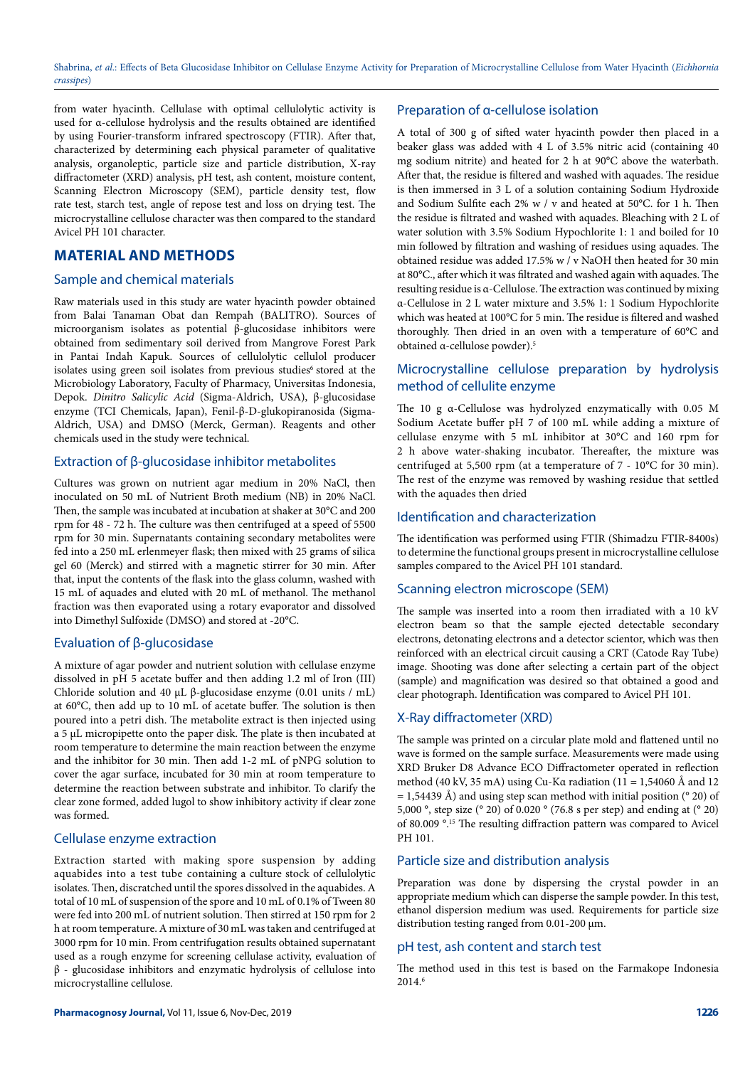from water hyacinth. Cellulase with optimal cellulolytic activity is used for α-cellulose hydrolysis and the results obtained are identified by using Fourier-transform infrared spectroscopy (FTIR). After that, characterized by determining each physical parameter of qualitative analysis, organoleptic, particle size and particle distribution, X-ray diffractometer (XRD) analysis, pH test, ash content, moisture content, Scanning Electron Microscopy (SEM), particle density test, flow rate test, starch test, angle of repose test and loss on drying test. The microcrystalline cellulose character was then compared to the standard Avicel PH 101 character.

# **MATERIAL AND METHODS**

#### Sample and chemical materials

Raw materials used in this study are water hyacinth powder obtained from Balai Tanaman Obat dan Rempah (BALITRO). Sources of microorganism isolates as potential β-glucosidase inhibitors were obtained from sedimentary soil derived from Mangrove Forest Park in Pantai Indah Kapuk. Sources of cellulolytic cellulol producer isolates using green soil isolates from previous studies<sup>6</sup> stored at the Microbiology Laboratory, Faculty of Pharmacy, Universitas Indonesia, Depok. *Dinitro Salicylic Acid* (Sigma-Aldrich, USA), β-glucosidase enzyme (TCI Chemicals, Japan), Fenil-β-D-glukopiranosida (Sigma-Aldrich, USA) and DMSO (Merck, German). Reagents and other chemicals used in the study were technical.

## Extraction of β-glucosidase inhibitor metabolites

Cultures was grown on nutrient agar medium in 20% NaCl, then inoculated on 50 mL of Nutrient Broth medium (NB) in 20% NaCl. Then, the sample was incubated at incubation at shaker at 30°C and 200 rpm for 48 - 72 h. The culture was then centrifuged at a speed of 5500 rpm for 30 min. Supernatants containing secondary metabolites were fed into a 250 mL erlenmeyer flask; then mixed with 25 grams of silica gel 60 (Merck) and stirred with a magnetic stirrer for 30 min. After that, input the contents of the flask into the glass column, washed with 15 mL of aquades and eluted with 20 mL of methanol. The methanol fraction was then evaporated using a rotary evaporator and dissolved into Dimethyl Sulfoxide (DMSO) and stored at -20°C.

# Evaluation of β-glucosidase

A mixture of agar powder and nutrient solution with cellulase enzyme dissolved in pH 5 acetate buffer and then adding 1.2 ml of Iron (III) Chloride solution and 40 μL β-glucosidase enzyme (0.01 units / mL) at 60°C, then add up to 10 mL of acetate buffer. The solution is then poured into a petri dish. The metabolite extract is then injected using a 5 μL micropipette onto the paper disk. The plate is then incubated at room temperature to determine the main reaction between the enzyme and the inhibitor for 30 min. Then add 1-2 mL of pNPG solution to cover the agar surface, incubated for 30 min at room temperature to determine the reaction between substrate and inhibitor. To clarify the clear zone formed, added lugol to show inhibitory activity if clear zone was formed.

#### Cellulase enzyme extraction

Extraction started with making spore suspension by adding aquabides into a test tube containing a culture stock of cellulolytic isolates. Then, discratched until the spores dissolved in the aquabides. A total of 10 mL of suspension of the spore and 10 mL of 0.1% of Tween 80 were fed into 200 mL of nutrient solution. Then stirred at 150 rpm for 2 h at room temperature. A mixture of 30 mL was taken and centrifuged at 3000 rpm for 10 min. From centrifugation results obtained supernatant used as a rough enzyme for screening cellulase activity, evaluation of β - glucosidase inhibitors and enzymatic hydrolysis of cellulose into microcrystalline cellulose.

# Preparation of α-cellulose isolation

A total of 300 g of sifted water hyacinth powder then placed in a beaker glass was added with 4 L of 3.5% nitric acid (containing 40 mg sodium nitrite) and heated for 2 h at 90°C above the waterbath. After that, the residue is filtered and washed with aquades. The residue is then immersed in 3 L of a solution containing Sodium Hydroxide and Sodium Sulfite each 2% w / v and heated at 50°C. for 1 h. Then the residue is filtrated and washed with aquades. Bleaching with 2 L of water solution with 3.5% Sodium Hypochlorite 1: 1 and boiled for 10 min followed by filtration and washing of residues using aquades. The obtained residue was added 17.5% w / v NaOH then heated for 30 min at 80°C., after which it was filtrated and washed again with aquades. The resulting residue is α-Cellulose. The extraction was continued by mixing α-Cellulose in 2 L water mixture and 3.5% 1: 1 Sodium Hypochlorite which was heated at 100°C for 5 min. The residue is filtered and washed thoroughly. Then dried in an oven with a temperature of 60°C and obtained α-cellulose powder).5

# Microcrystalline cellulose preparation by hydrolysis method of cellulite enzyme

The 10 g α-Cellulose was hydrolyzed enzymatically with 0.05 M Sodium Acetate buffer pH 7 of 100 mL while adding a mixture of cellulase enzyme with 5 mL inhibitor at 30°C and 160 rpm for 2 h above water-shaking incubator. Thereafter, the mixture was centrifuged at 5,500 rpm (at a temperature of 7 - 10°C for 30 min). The rest of the enzyme was removed by washing residue that settled with the aquades then dried

#### Identification and characterization

The identification was performed using FTIR (Shimadzu FTIR-8400s) to determine the functional groups present in microcrystalline cellulose samples compared to the Avicel PH 101 standard.

# Scanning electron microscope (SEM)

The sample was inserted into a room then irradiated with a 10 kV electron beam so that the sample ejected detectable secondary electrons, detonating electrons and a detector scientor, which was then reinforced with an electrical circuit causing a CRT (Catode Ray Tube) image. Shooting was done after selecting a certain part of the object (sample) and magnification was desired so that obtained a good and clear photograph. Identification was compared to Avicel PH 101.

# X-Ray diffractometer (XRD)

The sample was printed on a circular plate mold and flattened until no wave is formed on the sample surface. Measurements were made using XRD Bruker D8 Advance ECO Diffractometer operated in reflection method (40 kV, 35 mA) using Cu-Ka radiation (11 = 1,54060 Å and 12  $= 1,54439 \text{ Å}$ ) and using step scan method with initial position ( $^{\circ}$  20) of 5,000 °, step size (° 20) of 0.020 ° (76.8 s per step) and ending at (° 20) of 80.009 °.15 The resulting diffraction pattern was compared to Avicel PH 101.

## Particle size and distribution analysis

Preparation was done by dispersing the crystal powder in an appropriate medium which can disperse the sample powder. In this test, ethanol dispersion medium was used. Requirements for particle size distribution testing ranged from 0.01-200 μm.

#### pH test, ash content and starch test

The method used in this test is based on the Farmakope Indonesia  $2014<sup>6</sup>$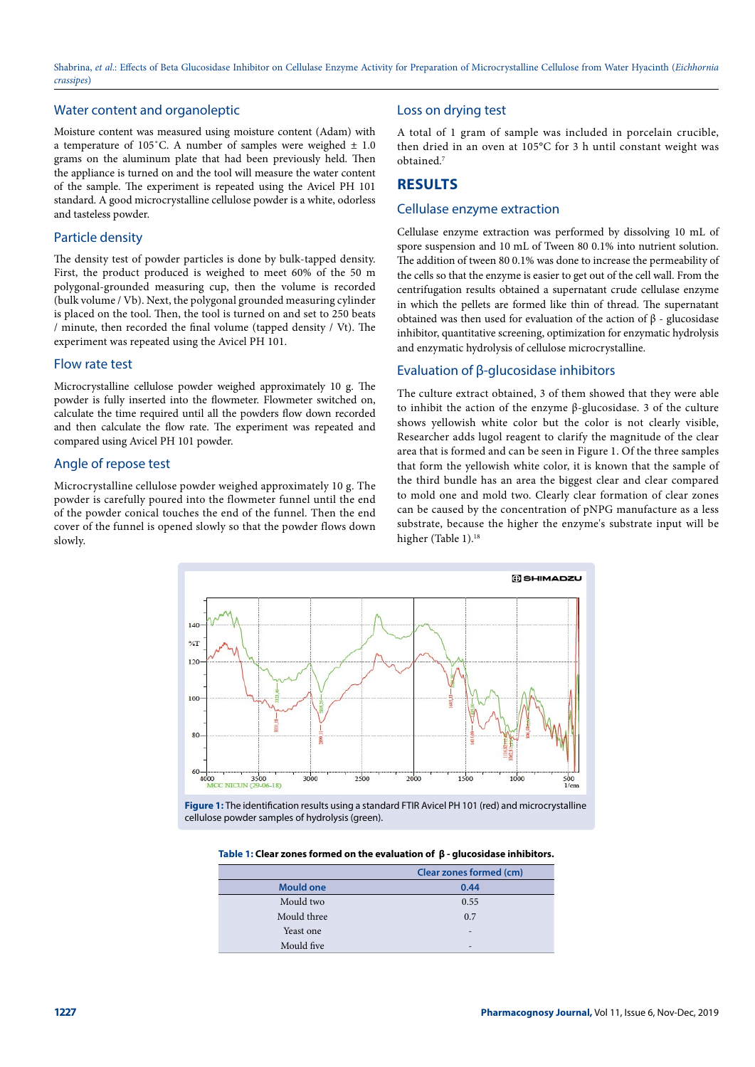## Water content and organoleptic

Moisture content was measured using moisture content (Adam) with a temperature of 105°C. A number of samples were weighed  $\pm$  1.0 grams on the aluminum plate that had been previously held. Then the appliance is turned on and the tool will measure the water content of the sample. The experiment is repeated using the Avicel PH 101 standard. A good microcrystalline cellulose powder is a white, odorless and tasteless powder.

#### Particle density

The density test of powder particles is done by bulk-tapped density. First, the product produced is weighed to meet 60% of the 50 m polygonal-grounded measuring cup, then the volume is recorded (bulk volume / Vb). Next, the polygonal grounded measuring cylinder is placed on the tool. Then, the tool is turned on and set to 250 beats / minute, then recorded the final volume (tapped density / Vt). The experiment was repeated using the Avicel PH 101.

#### Flow rate test

Microcrystalline cellulose powder weighed approximately 10 g. The powder is fully inserted into the flowmeter. Flowmeter switched on, calculate the time required until all the powders flow down recorded and then calculate the flow rate. The experiment was repeated and compared using Avicel PH 101 powder.

# Angle of repose test

Microcrystalline cellulose powder weighed approximately 10 g. The powder is carefully poured into the flowmeter funnel until the end of the powder conical touches the end of the funnel. Then the end cover of the funnel is opened slowly so that the powder flows down slowly.

# Loss on drying test

A total of 1 gram of sample was included in porcelain crucible, then dried in an oven at 105°C for 3 h until constant weight was obtained.7

# **RESULTS**

#### Cellulase enzyme extraction

Cellulase enzyme extraction was performed by dissolving 10 mL of spore suspension and 10 mL of Tween 80 0.1% into nutrient solution. The addition of tween 80 0.1% was done to increase the permeability of the cells so that the enzyme is easier to get out of the cell wall. From the centrifugation results obtained a supernatant crude cellulase enzyme in which the pellets are formed like thin of thread. The supernatant obtained was then used for evaluation of the action of β - glucosidase inhibitor, quantitative screening, optimization for enzymatic hydrolysis and enzymatic hydrolysis of cellulose microcrystalline.

# Evaluation of β-glucosidase inhibitors

The culture extract obtained, 3 of them showed that they were able to inhibit the action of the enzyme β-glucosidase. 3 of the culture shows yellowish white color but the color is not clearly visible, Researcher adds lugol reagent to clarify the magnitude of the clear area that is formed and can be seen in Figure 1. Of the three samples that form the yellowish white color, it is known that the sample of the third bundle has an area the biggest clear and clear compared to mold one and mold two. Clearly clear formation of clear zones can be caused by the concentration of pNPG manufacture as a less substrate, because the higher the enzyme's substrate input will be higher (Table 1).<sup>18</sup>



**Figure 1:** The identification results using a standard FTIR Avicel PH 101 (red) and microcrystalline cellulose powder samples of hydrolysis (green).

| Table 1: Clear zones formed on the evaluation of $\beta$ - glucosidase inhibitors. |  |  |
|------------------------------------------------------------------------------------|--|--|
|------------------------------------------------------------------------------------|--|--|

|                  | Clear zones formed (cm) |
|------------------|-------------------------|
| <b>Mould one</b> | 0.44                    |
| Mould two        | 0.55                    |
| Mould three      | 0.7                     |
| Yeast one        | -                       |
| Mould five       | -                       |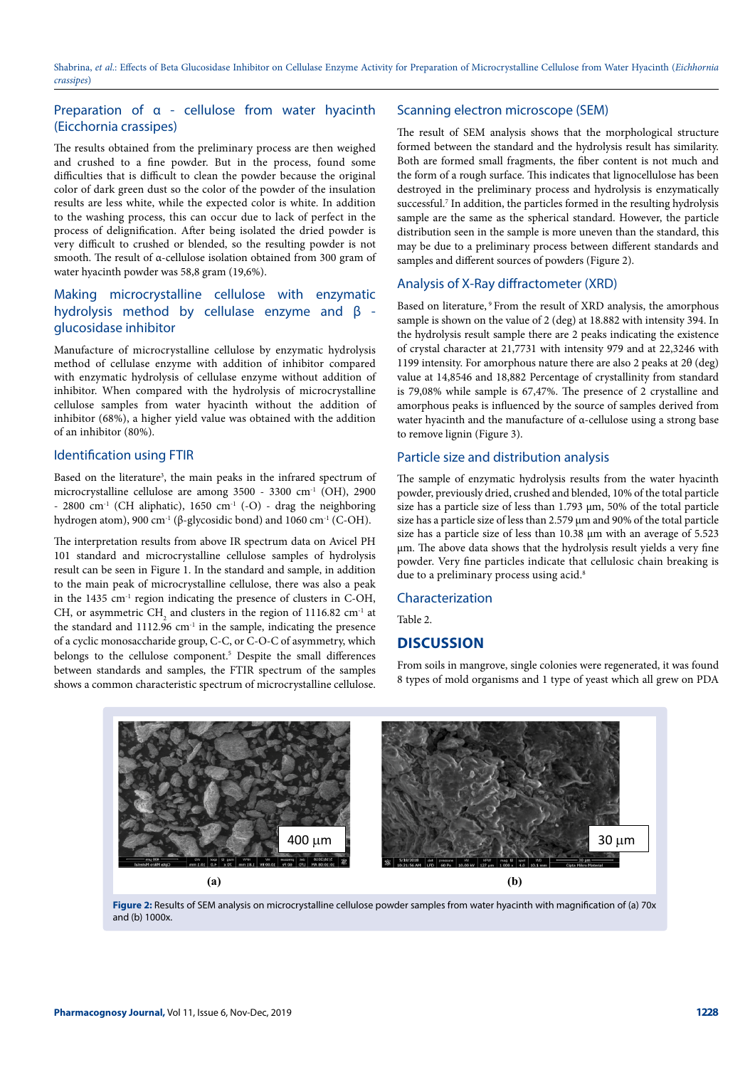# Preparation of α - cellulose from water hyacinth (Eicchornia crassipes)

The results obtained from the preliminary process are then weighed and crushed to a fine powder. But in the process, found some difficulties that is difficult to clean the powder because the original color of dark green dust so the color of the powder of the insulation results are less white, while the expected color is white. In addition to the washing process, this can occur due to lack of perfect in the process of delignification. After being isolated the dried powder is very difficult to crushed or blended, so the resulting powder is not smooth. The result of α-cellulose isolation obtained from 300 gram of water hyacinth powder was 58,8 gram (19,6%).

# Making microcrystalline cellulose with enzymatic hydrolysis method by cellulase enzyme and β glucosidase inhibitor

Manufacture of microcrystalline cellulose by enzymatic hydrolysis method of cellulase enzyme with addition of inhibitor compared with enzymatic hydrolysis of cellulase enzyme without addition of inhibitor. When compared with the hydrolysis of microcrystalline cellulose samples from water hyacinth without the addition of inhibitor (68%), a higher yield value was obtained with the addition of an inhibitor (80%).

## Identification using FTIR

Based on the literature<sup>3</sup>, the main peaks in the infrared spectrum of microcrystalline cellulose are among  $3500 - 3300$  cm<sup>-1</sup> (OH), 2900 - 2800 cm<sup>-1</sup> (CH aliphatic), 1650 cm<sup>-1</sup> (-O) - drag the neighboring hydrogen atom), 900 cm<sup>-1</sup> (β-glycosidic bond) and 1060 cm<sup>-1</sup> (C-OH).

The interpretation results from above IR spectrum data on Avicel PH 101 standard and microcrystalline cellulose samples of hydrolysis result can be seen in Figure 1. In the standard and sample, in addition to the main peak of microcrystalline cellulose, there was also a peak in the 1435 cm<sup>-1</sup> region indicating the presence of clusters in C-OH, CH, or asymmetric  $\text{CH}_2$  and clusters in the region of 1116.82 cm<sup>-1</sup> at the standard and  $1112.96$  cm<sup>-1</sup> in the sample, indicating the presence of a cyclic monosaccharide group, C-C, or C-O-C of asymmetry, which belongs to the cellulose component.<sup>5</sup> Despite the small differences between standards and samples, the FTIR spectrum of the samples shows a common characteristic spectrum of microcrystalline cellulose.

## Scanning electron microscope (SEM)

The result of SEM analysis shows that the morphological structure formed between the standard and the hydrolysis result has similarity. Both are formed small fragments, the fiber content is not much and the form of a rough surface. This indicates that lignocellulose has been destroyed in the preliminary process and hydrolysis is enzymatically successful.<sup>7</sup> In addition, the particles formed in the resulting hydrolysis sample are the same as the spherical standard. However, the particle distribution seen in the sample is more uneven than the standard, this may be due to a preliminary process between different standards and samples and different sources of powders (Figure 2).

# Analysis of X-Ray diffractometer (XRD)

Based on literature, <sup>9</sup> From the result of XRD analysis, the amorphous sample is shown on the value of 2 (deg) at 18.882 with intensity 394. In the hydrolysis result sample there are 2 peaks indicating the existence of crystal character at 21,7731 with intensity 979 and at 22,3246 with 1199 intensity. For amorphous nature there are also 2 peaks at 2θ (deg) value at 14,8546 and 18,882 Percentage of crystallinity from standard is 79,08% while sample is 67,47%. The presence of 2 crystalline and amorphous peaks is influenced by the source of samples derived from water hyacinth and the manufacture of α-cellulose using a strong base to remove lignin (Figure 3).

# Particle size and distribution analysis

The sample of enzymatic hydrolysis results from the water hyacinth powder, previously dried, crushed and blended, 10% of the total particle size has a particle size of less than 1.793 μm, 50% of the total particle size has a particle size of less than 2.579 μm and 90% of the total particle size has a particle size of less than 10.38 μm with an average of 5.523 μm. The above data shows that the hydrolysis result yields a very fine powder. Very fine particles indicate that cellulosic chain breaking is due to a preliminary process using acid.<sup>8</sup>

#### Characterization

Table 2.

# **DISCUSSION**

From soils in mangrove, single colonies were regenerated, it was found 8 types of mold organisms and 1 type of yeast which all grew on PDA



**Figure 2:** Results of SEM analysis on microcrystalline cellulose powder samples from water hyacinth with magnification of (a) 70x and (b) 1000x.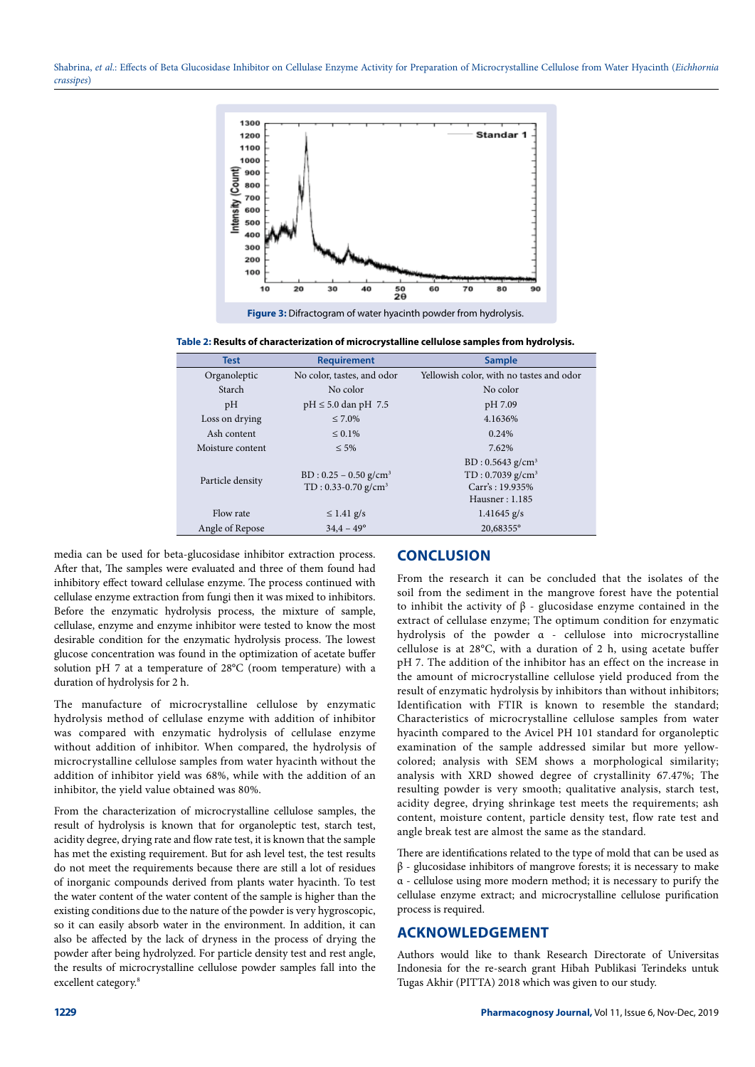

**Figure 3:** Difractogram of water hyacinth powder from hydrolysis.

**Table 2: Results of characterization of microcrystalline cellulose samples from hydrolysis.**

| <b>Test</b>      | <b>Requirement</b>                                                       | <b>Sample</b>                                                                            |
|------------------|--------------------------------------------------------------------------|------------------------------------------------------------------------------------------|
| Organoleptic     | No color, tastes, and odor                                               | Yellowish color, with no tastes and odor                                                 |
| Starch           | No color                                                                 | No color                                                                                 |
| pH               | $pH \le 5.0$ dan pH 7.5                                                  | pH 7.09                                                                                  |
| Loss on drying   | $\leq 7.0\%$                                                             | 4.1636%                                                                                  |
| Ash content      | $\leq 0.1\%$                                                             | 0.24%                                                                                    |
| Moisture content | $\leq 5\%$                                                               | 7.62%                                                                                    |
| Particle density | $BD: 0.25 - 0.50$ g/cm <sup>3</sup><br>$TD: 0.33-0.70$ g/cm <sup>3</sup> | BD: 0.5643 g/cm <sup>3</sup><br>$TD: 0.7039 g/cm^3$<br>Carr's: 19.935%<br>Hausner: 1.185 |
| Flow rate        | $\leq$ 1.41 g/s                                                          | $1.41645$ g/s                                                                            |
| Angle of Repose  | $34,4 - 49^{\circ}$                                                      | 20,68355°                                                                                |

media can be used for beta-glucosidase inhibitor extraction process. After that, The samples were evaluated and three of them found had inhibitory effect toward cellulase enzyme. The process continued with cellulase enzyme extraction from fungi then it was mixed to inhibitors. Before the enzymatic hydrolysis process, the mixture of sample, cellulase, enzyme and enzyme inhibitor were tested to know the most desirable condition for the enzymatic hydrolysis process. The lowest glucose concentration was found in the optimization of acetate buffer solution pH 7 at a temperature of 28°C (room temperature) with a duration of hydrolysis for 2 h.

The manufacture of microcrystalline cellulose by enzymatic hydrolysis method of cellulase enzyme with addition of inhibitor was compared with enzymatic hydrolysis of cellulase enzyme without addition of inhibitor. When compared, the hydrolysis of microcrystalline cellulose samples from water hyacinth without the addition of inhibitor yield was 68%, while with the addition of an inhibitor, the yield value obtained was 80%.

From the characterization of microcrystalline cellulose samples, the result of hydrolysis is known that for organoleptic test, starch test, acidity degree, drying rate and flow rate test, it is known that the sample has met the existing requirement. But for ash level test, the test results do not meet the requirements because there are still a lot of residues of inorganic compounds derived from plants water hyacinth. To test the water content of the water content of the sample is higher than the existing conditions due to the nature of the powder is very hygroscopic, so it can easily absorb water in the environment. In addition, it can also be affected by the lack of dryness in the process of drying the powder after being hydrolyzed. For particle density test and rest angle, the results of microcrystalline cellulose powder samples fall into the excellent category.<sup>8</sup>

# **CONCLUSION**

From the research it can be concluded that the isolates of the soil from the sediment in the mangrove forest have the potential to inhibit the activity of β - glucosidase enzyme contained in the extract of cellulase enzyme; The optimum condition for enzymatic hydrolysis of the powder α - cellulose into microcrystalline cellulose is at 28°C, with a duration of 2 h, using acetate buffer pH 7. The addition of the inhibitor has an effect on the increase in the amount of microcrystalline cellulose yield produced from the result of enzymatic hydrolysis by inhibitors than without inhibitors; Identification with FTIR is known to resemble the standard; Characteristics of microcrystalline cellulose samples from water hyacinth compared to the Avicel PH 101 standard for organoleptic examination of the sample addressed similar but more yellowcolored; analysis with SEM shows a morphological similarity; analysis with XRD showed degree of crystallinity 67.47%; The resulting powder is very smooth; qualitative analysis, starch test, acidity degree, drying shrinkage test meets the requirements; ash content, moisture content, particle density test, flow rate test and angle break test are almost the same as the standard.

There are identifications related to the type of mold that can be used as  $β$  - glucosidase inhibitors of mangrove forests; it is necessary to make α - cellulose using more modern method; it is necessary to purify the cellulase enzyme extract; and microcrystalline cellulose purification process is required.

# **ACKNOWLEDGEMENT**

Authors would like to thank Research Directorate of Universitas Indonesia for the re-search grant Hibah Publikasi Terindeks untuk Tugas Akhir (PITTA) 2018 which was given to our study.